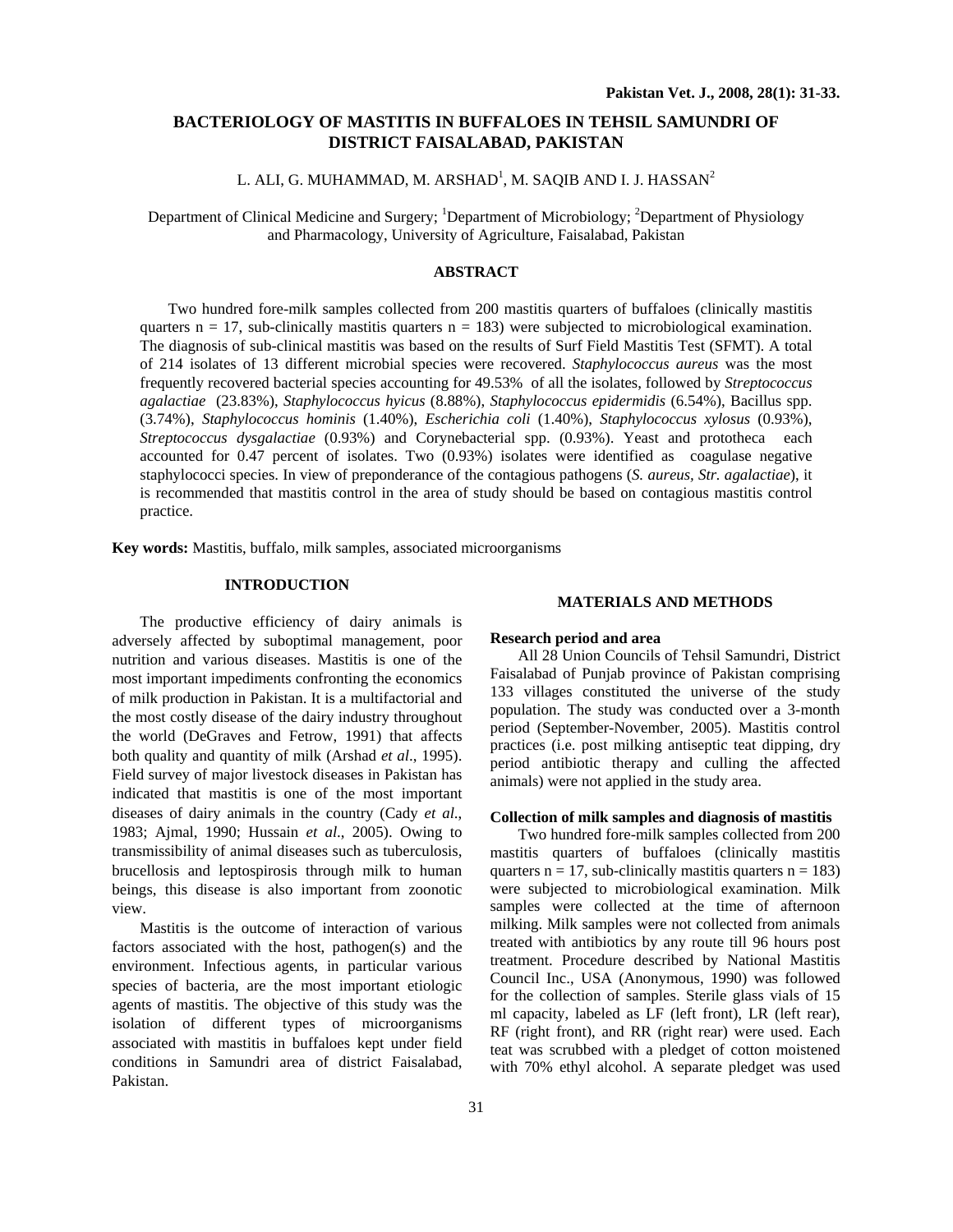# **BACTERIOLOGY OF MASTITIS IN BUFFALOES IN TEHSIL SAMUNDRI OF DISTRICT FAISALABAD, PAKISTAN**

L. ALI, G. MUHAMMAD, M. ARSHAD $^{\rm l}$ , M. SAQIB AND I. J. HASSAN $^{\rm 2}$ 

Department of Clinical Medicine and Surgery; <sup>1</sup>Department of Microbiology; <sup>2</sup>Department of Physiology and Pharmacology, University of Agriculture, Faisalabad, Pakistan

# **ABSTRACT**

Two hundred fore-milk samples collected from 200 mastitis quarters of buffaloes (clinically mastitis quarters  $n = 17$ , sub-clinically mastitis quarters  $n = 183$ ) were subjected to microbiological examination. The diagnosis of sub-clinical mastitis was based on the results of Surf Field Mastitis Test (SFMT). A total of 214 isolates of 13 different microbial species were recovered. *Staphylococcus aureus* was the most frequently recovered bacterial species accounting for 49.53% of all the isolates, followed by *Streptococcus agalactiae* (23.83%), *Staphylococcus hyicus* (8.88%), *Staphylococcus epidermidis* (6.54%), Bacillus spp. (3.74%), *Staphylococcus hominis* (1.40%), *Escherichia coli* (1.40%), *Staphylococcus xylosus* (0.93%), *Streptococcus dysgalactiae* (0.93%) and Corynebacterial spp. (0.93%). Yeast and prototheca each accounted for 0.47 percent of isolates. Two (0.93%) isolates were identified as coagulase negative staphylococci species. In view of preponderance of the contagious pathogens (*S. aureus, Str. agalactiae*), it is recommended that mastitis control in the area of study should be based on contagious mastitis control practice.

**Key words:** Mastitis, buffalo, milk samples, associated microorganisms

# **INTRODUCTION**

The productive efficiency of dairy animals is adversely affected by suboptimal management, poor nutrition and various diseases. Mastitis is one of the most important impediments confronting the economics of milk production in Pakistan. It is a multifactorial and the most costly disease of the dairy industry throughout the world (DeGraves and Fetrow, 1991) that affects both quality and quantity of milk (Arshad *et al*., 1995). Field survey of major livestock diseases in Pakistan has indicated that mastitis is one of the most important diseases of dairy animals in the country (Cady *et al*., 1983; Ajmal, 1990; Hussain *et al*., 2005). Owing to transmissibility of animal diseases such as tuberculosis, brucellosis and leptospirosis through milk to human beings, this disease is also important from zoonotic view.

Mastitis is the outcome of interaction of various factors associated with the host, pathogen(s) and the environment. Infectious agents, in particular various species of bacteria, are the most important etiologic agents of mastitis. The objective of this study was the isolation of different types of microorganisms associated with mastitis in buffaloes kept under field conditions in Samundri area of district Faisalabad, Pakistan.

#### **MATERIALS AND METHODS**

### **Research period and area**

All 28 Union Councils of Tehsil Samundri, District Faisalabad of Punjab province of Pakistan comprising 133 villages constituted the universe of the study population. The study was conducted over a 3-month period (September-November, 2005). Mastitis control practices (i.e. post milking antiseptic teat dipping, dry period antibiotic therapy and culling the affected animals) were not applied in the study area.

#### **Collection of milk samples and diagnosis of mastitis**

Two hundred fore-milk samples collected from 200 mastitis quarters of buffaloes (clinically mastitis quarters  $n = 17$ , sub-clinically mastitis quarters  $n = 183$ ) were subjected to microbiological examination. Milk samples were collected at the time of afternoon milking. Milk samples were not collected from animals treated with antibiotics by any route till 96 hours post treatment. Procedure described by National Mastitis Council Inc., USA (Anonymous, 1990) was followed for the collection of samples. Sterile glass vials of 15 ml capacity, labeled as LF (left front), LR (left rear), RF (right front), and RR (right rear) were used. Each teat was scrubbed with a pledget of cotton moistened with 70% ethyl alcohol. A separate pledget was used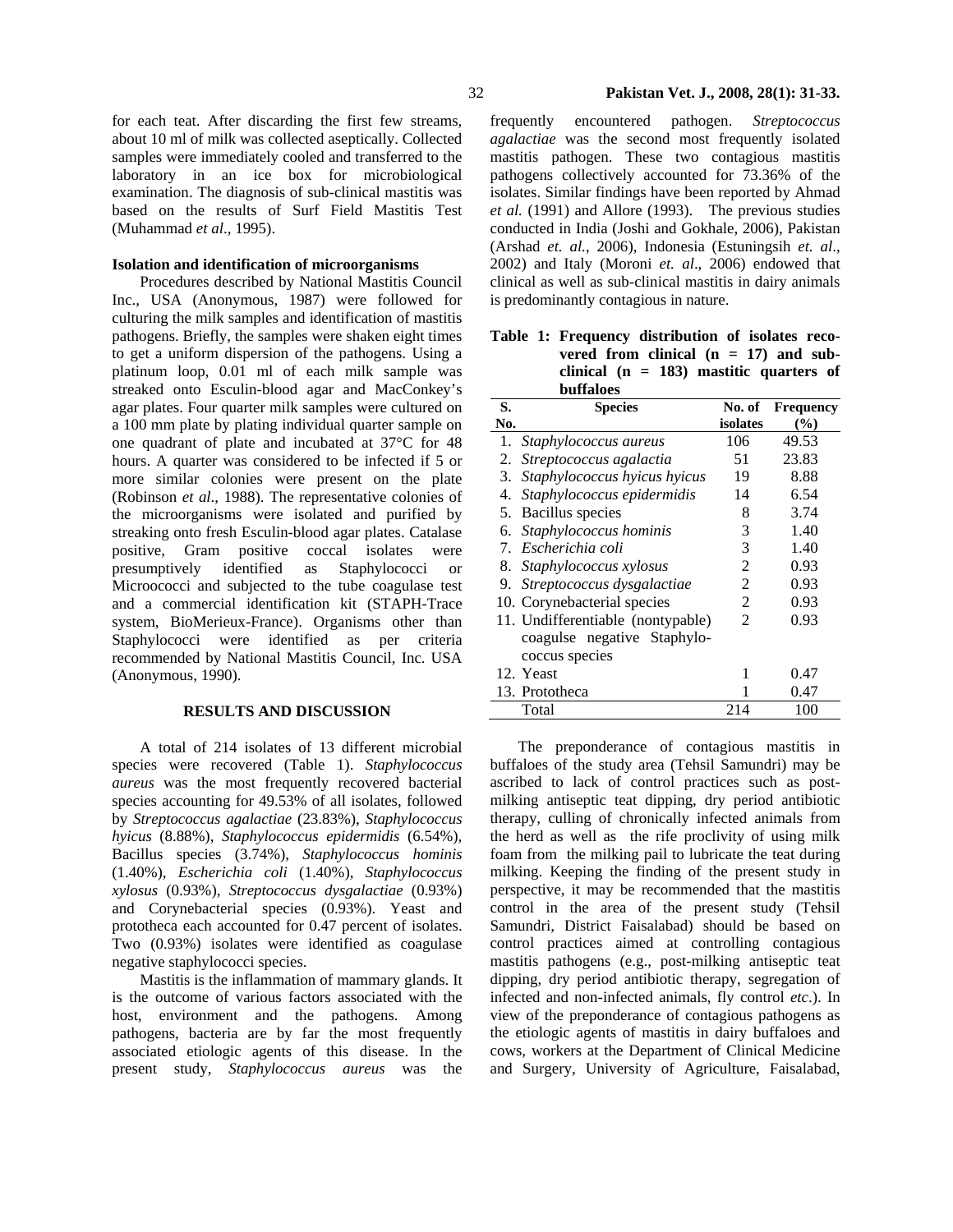for each teat. After discarding the first few streams, about 10 ml of milk was collected aseptically. Collected samples were immediately cooled and transferred to the laboratory in an ice box for microbiological examination. The diagnosis of sub-clinical mastitis was based on the results of Surf Field Mastitis Test (Muhammad *et al*., 1995).

# **Isolation and identification of microorganisms**

Procedures described by National Mastitis Council Inc., USA (Anonymous, 1987) were followed for culturing the milk samples and identification of mastitis pathogens. Briefly, the samples were shaken eight times to get a uniform dispersion of the pathogens. Using a platinum loop, 0.01 ml of each milk sample was streaked onto Esculin-blood agar and MacConkey's agar plates. Four quarter milk samples were cultured on a 100 mm plate by plating individual quarter sample on one quadrant of plate and incubated at 37°C for 48 hours. A quarter was considered to be infected if 5 or more similar colonies were present on the plate (Robinson *et al*., 1988). The representative colonies of the microorganisms were isolated and purified by streaking onto fresh Esculin-blood agar plates. Catalase positive, Gram positive coccal isolates were presumptively identified as Staphylococci or Microococci and subjected to the tube coagulase test and a commercial identification kit (STAPH-Trace system, BioMerieux-France). Organisms other than Staphylococci were identified as per criteria recommended by National Mastitis Council, Inc. USA (Anonymous, 1990).

### **RESULTS AND DISCUSSION**

A total of 214 isolates of 13 different microbial species were recovered (Table 1). *Staphylococcus aureus* was the most frequently recovered bacterial species accounting for 49.53% of all isolates, followed by *Streptococcus agalactiae* (23.83%), *Staphylococcus hyicus* (8.88%), *Staphylococcus epidermidis* (6.54%), Bacillus species (3.74%), *Staphylococcus hominis*  (1.40%), *Escherichia coli* (1.40%), *Staphylococcus xylosus* (0.93%), *Streptococcus dysgalactiae* (0.93%) and Corynebacterial species (0.93%). Yeast and prototheca each accounted for 0.47 percent of isolates. Two (0.93%) isolates were identified as coagulase negative staphylococci species.

Mastitis is the inflammation of mammary glands. It is the outcome of various factors associated with the host, environment and the pathogens. Among pathogens, bacteria are by far the most frequently associated etiologic agents of this disease. In the present study, *Staphylococcus aureus* was the

frequently encountered pathogen. *Streptococcus agalactiae* was the second most frequently isolated mastitis pathogen. These two contagious mastitis pathogens collectively accounted for 73.36% of the isolates. Similar findings have been reported by Ahmad *et al.* (1991) and Allore (1993). The previous studies conducted in India (Joshi and Gokhale, 2006), Pakistan (Arshad *et. al.*, 2006), Indonesia (Estuningsih *et. al*., 2002) and Italy (Moroni *et. al*., 2006) endowed that clinical as well as sub-clinical mastitis in dairy animals is predominantly contagious in nature.

**Table 1: Frequency distribution of isolates recovered from clinical (n = 17) and subclinical (n = 183) mastitic quarters of buffaloes** 

| S.  | <b>Species</b>                    | No. of   | <b>Frequency</b> |
|-----|-----------------------------------|----------|------------------|
| No. |                                   | isolates | (%)              |
| 1.  | Staphylococcus aureus             | 106      | 49.53            |
| 2.  | Streptococcus agalactia           | 51       | 23.83            |
| 3.  | Staphylococcus hyicus hyicus      | 19       | 8.88             |
| 4.  | Staphylococcus epidermidis        | 14       | 6.54             |
| 5.  | Bacillus species                  | 8        | 3.74             |
| 6.  | Staphylococcus hominis            | 3        | 1.40             |
| 7.  | Escherichia coli                  | 3        | 1.40             |
| 8.  | Staphylococcus xylosus            | 2        | 0.93             |
| 9.  | Streptococcus dysgalactiae        | 2        | 0.93             |
|     | 10. Corynebacterial species       | 2        | 0.93             |
|     | 11. Undifferentiable (nontypable) | 2        | 0.93             |
|     | coagulse negative Staphylo-       |          |                  |
|     | coccus species                    |          |                  |
|     | 12. Yeast                         |          | 0.47             |
|     | 13. Prototheca                    |          | 0.47             |
|     | Total                             | 214      | 100              |

The preponderance of contagious mastitis in buffaloes of the study area (Tehsil Samundri) may be ascribed to lack of control practices such as postmilking antiseptic teat dipping, dry period antibiotic therapy, culling of chronically infected animals from the herd as well as the rife proclivity of using milk foam from the milking pail to lubricate the teat during milking. Keeping the finding of the present study in perspective, it may be recommended that the mastitis control in the area of the present study (Tehsil Samundri, District Faisalabad) should be based on control practices aimed at controlling contagious mastitis pathogens (e.g., post-milking antiseptic teat dipping, dry period antibiotic therapy, segregation of infected and non-infected animals, fly control *etc*.). In view of the preponderance of contagious pathogens as the etiologic agents of mastitis in dairy buffaloes and cows, workers at the Department of Clinical Medicine and Surgery, University of Agriculture, Faisalabad,